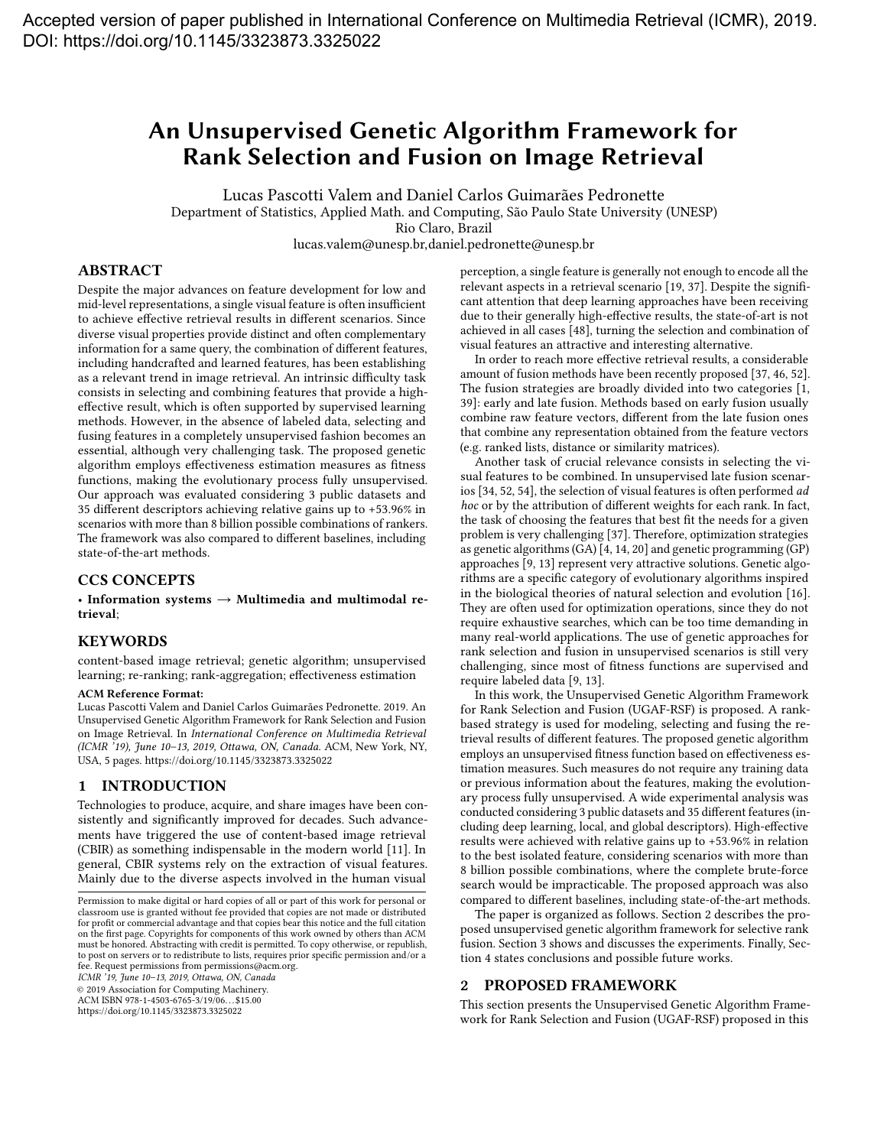# <span id="page-0-1"></span>An Unsupervised Genetic Algorithm Framework for Rank Selection and Fusion on Image Retrieval

Lucas Pascotti Valem and Daniel Carlos Guimarães Pedronette Department of Statistics, Applied Math. and Computing, São Paulo State University (UNESP) Rio Claro, Brazil

lucas.valem@unesp.br,daniel.pedronette@unesp.br

## ABSTRACT

Despite the major advances on feature development for low and mid-level representations, a single visual feature is often insufficient to achieve effective retrieval results in different scenarios. Since diverse visual properties provide distinct and often complementary information for a same query, the combination of different features, including handcrafted and learned features, has been establishing as a relevant trend in image retrieval. An intrinsic difficulty task consists in selecting and combining features that provide a higheffective result, which is often supported by supervised learning methods. However, in the absence of labeled data, selecting and fusing features in a completely unsupervised fashion becomes an essential, although very challenging task. The proposed genetic algorithm employs effectiveness estimation measures as fitness functions, making the evolutionary process fully unsupervised. Our approach was evaluated considering 3 public datasets and 35 different descriptors achieving relative gains up to +53.96% in scenarios with more than 8 billion possible combinations of rankers. The framework was also compared to different baselines, including state-of-the-art methods.

## CCS CONCEPTS

• Information systems  $\rightarrow$  Multimedia and multimodal retrieval;

## KEYWORDS

content-based image retrieval; genetic algorithm; unsupervised learning; re-ranking; rank-aggregation; effectiveness estimation

#### ACM Reference Format:

Lucas Pascotti Valem and Daniel Carlos Guimarães Pedronette. 2019. An Unsupervised Genetic Algorithm Framework for Rank Selection and Fusion on Image Retrieval. In International Conference on Multimedia Retrieval (ICMR '19), June 10–13, 2019, Ottawa, ON, Canada. ACM, New York, NY, USA, [5](#page-4-0) pages.<https://doi.org/10.1145/3323873.3325022>

## 1 INTRODUCTION

Technologies to produce, acquire, and share images have been consistently and significantly improved for decades. Such advancements have triggered the use of content-based image retrieval (CBIR) as something indispensable in the modern world [\[11\]](#page-4-1). In general, CBIR systems rely on the extraction of visual features. Mainly due to the diverse aspects involved in the human visual

ICMR '19, June 10–13, 2019, Ottawa, ON, Canada

© 2019 Association for Computing Machinery.

ACM ISBN 978-1-4503-6765-3/19/06. . . \$15.00

<https://doi.org/10.1145/3323873.3325022>

perception, a single feature is generally not enough to encode all the relevant aspects in a retrieval scenario [\[19,](#page-4-2) [37\]](#page-4-3). Despite the significant attention that deep learning approaches have been receiving due to their generally high-effective results, the state-of-art is not achieved in all cases [\[48\]](#page-4-4), turning the selection and combination of visual features an attractive and interesting alternative.

In order to reach more effective retrieval results, a considerable amount of fusion methods have been recently proposed [\[37,](#page-4-3) [46,](#page-4-5) [52\]](#page-4-6). The fusion strategies are broadly divided into two categories [\[1,](#page-4-7) [39\]](#page-4-8): early and late fusion. Methods based on early fusion usually combine raw feature vectors, different from the late fusion ones that combine any representation obtained from the feature vectors (e.g. ranked lists, distance or similarity matrices).

Another task of crucial relevance consists in selecting the visual features to be combined. In unsupervised late fusion scenarios [\[34,](#page-4-9) [52,](#page-4-6) [54\]](#page-4-10), the selection of visual features is often performed ad hoc or by the attribution of different weights for each rank. In fact, the task of choosing the features that best fit the needs for a given problem is very challenging [\[37\]](#page-4-3). Therefore, optimization strategies as genetic algorithms (GA) [\[4,](#page-4-11) [14,](#page-4-12) [20\]](#page-4-13) and genetic programming (GP) approaches [\[9,](#page-4-14) [13\]](#page-4-15) represent very attractive solutions. Genetic algorithms are a specific category of evolutionary algorithms inspired in the biological theories of natural selection and evolution [\[16\]](#page-4-16). They are often used for optimization operations, since they do not require exhaustive searches, which can be too time demanding in many real-world applications. The use of genetic approaches for rank selection and fusion in unsupervised scenarios is still very challenging, since most of fitness functions are supervised and require labeled data [\[9,](#page-4-14) [13\]](#page-4-15).

In this work, the Unsupervised Genetic Algorithm Framework for Rank Selection and Fusion (UGAF-RSF) is proposed. A rankbased strategy is used for modeling, selecting and fusing the retrieval results of different features. The proposed genetic algorithm employs an unsupervised fitness function based on effectiveness estimation measures. Such measures do not require any training data or previous information about the features, making the evolutionary process fully unsupervised. A wide experimental analysis was conducted considering 3 public datasets and 35 different features (including deep learning, local, and global descriptors). High-effective results were achieved with relative gains up to +53.96% in relation to the best isolated feature, considering scenarios with more than 8 billion possible combinations, where the complete brute-force search would be impracticable. The proposed approach was also compared to different baselines, including state-of-the-art methods.

The paper is organized as follows. Section [2](#page-0-0) describes the proposed unsupervised genetic algorithm framework for selective rank fusion. Section [3](#page-1-0) shows and discusses the experiments. Finally, Section [4](#page-3-0) states conclusions and possible future works.

#### <span id="page-0-0"></span>2 PROPOSED FRAMEWORK

This section presents the Unsupervised Genetic Algorithm Framework for Rank Selection and Fusion (UGAF-RSF) proposed in this

Permission to make digital or hard copies of all or part of this work for personal or classroom use is granted without fee provided that copies are not made or distributed for profit or commercial advantage and that copies bear this notice and the full citation on the first page. Copyrights for components of this work owned by others than ACM must be honored. Abstracting with credit is permitted. To copy otherwise, or republish, to post on servers or to redistribute to lists, requires prior specific permission and/or a fee. Request permissions from permissions@acm.org.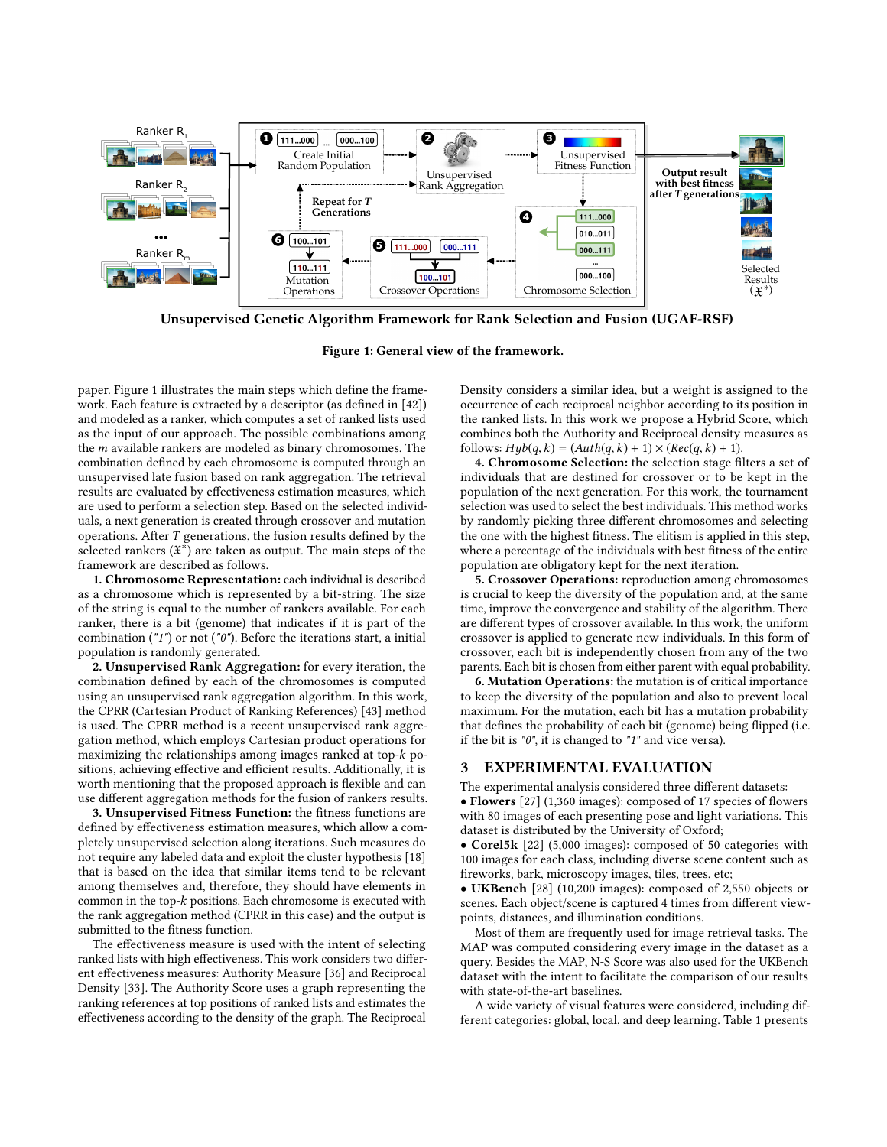<span id="page-1-1"></span>

**Unsupervised Genetic Algorithm Framework for Rank Selection and Fusion (UGAF-RSF)**

Figure 1: General view of the framework.

paper. Figure [1](#page-1-1) illustrates the main steps which define the framework. Each feature is extracted by a descriptor (as defined in [\[42\]](#page-4-17)) and modeled as a ranker, which computes a set of ranked lists used as the input of our approach. The possible combinations among the m available rankers are modeled as binary chromosomes. The combination defined by each chromosome is computed through an unsupervised late fusion based on rank aggregation. The retrieval results are evaluated by effectiveness estimation measures, which are used to perform a selection step. Based on the selected individuals, a next generation is created through crossover and mutation operations. After T generations, the fusion results defined by the selected rankers  $(\mathfrak{X}^*)$  are taken as output. The main steps of the framework are described as follows.

1. Chromosome Representation: each individual is described as a chromosome which is represented by a bit-string. The size of the string is equal to the number of rankers available. For each ranker, there is a bit (genome) that indicates if it is part of the combination ("1") or not ("0"). Before the iterations start, a initial population is randomly generated.

2. Unsupervised Rank Aggregation: for every iteration, the combination defined by each of the chromosomes is computed using an unsupervised rank aggregation algorithm. In this work, the CPRR (Cartesian Product of Ranking References) [\[43\]](#page-4-18) method is used. The CPRR method is a recent unsupervised rank aggregation method, which employs Cartesian product operations for maximizing the relationships among images ranked at top-k positions, achieving effective and efficient results. Additionally, it is worth mentioning that the proposed approach is flexible and can use different aggregation methods for the fusion of rankers results.

3. Unsupervised Fitness Function: the fitness functions are defined by effectiveness estimation measures, which allow a completely unsupervised selection along iterations. Such measures do not require any labeled data and exploit the cluster hypothesis [\[18\]](#page-4-19) that is based on the idea that similar items tend to be relevant among themselves and, therefore, they should have elements in common in the top-k positions. Each chromosome is executed with the rank aggregation method (CPRR in this case) and the output is submitted to the fitness function.

The effectiveness measure is used with the intent of selecting ranked lists with high effectiveness. This work considers two different effectiveness measures: Authority Measure [\[36\]](#page-4-20) and Reciprocal Density [\[33\]](#page-4-21). The Authority Score uses a graph representing the ranking references at top positions of ranked lists and estimates the effectiveness according to the density of the graph. The Reciprocal

Density considers a similar idea, but a weight is assigned to the occurrence of each reciprocal neighbor according to its position in the ranked lists. In this work we propose a Hybrid Score, which combines both the Authority and Reciprocal density measures as follows:  $H y b(q, k) = (Auth(q, k) + 1) \times (Rec(q, k) + 1).$ 

4. Chromosome Selection: the selection stage filters a set of individuals that are destined for crossover or to be kept in the population of the next generation. For this work, the tournament selection was used to select the best individuals. This method works by randomly picking three different chromosomes and selecting the one with the highest fitness. The elitism is applied in this step, where a percentage of the individuals with best fitness of the entire population are obligatory kept for the next iteration.

5. Crossover Operations: reproduction among chromosomes is crucial to keep the diversity of the population and, at the same time, improve the convergence and stability of the algorithm. There are different types of crossover available. In this work, the uniform crossover is applied to generate new individuals. In this form of crossover, each bit is independently chosen from any of the two parents. Each bit is chosen from either parent with equal probability.

6. Mutation Operations: the mutation is of critical importance to keep the diversity of the population and also to prevent local maximum. For the mutation, each bit has a mutation probability that defines the probability of each bit (genome) being flipped (i.e. if the bit is "0", it is changed to "1" and vice versa).

#### <span id="page-1-0"></span>3 EXPERIMENTAL EVALUATION

The experimental analysis considered three different datasets:

• Flowers [\[27\]](#page-4-22) (1,360 images): composed of 17 species of flowers with 80 images of each presenting pose and light variations. This dataset is distributed by the University of Oxford;

• Corel5k [\[22\]](#page-4-23) (5,000 images): composed of 50 categories with 100 images for each class, including diverse scene content such as fireworks, bark, microscopy images, tiles, trees, etc;

• UKBench [\[28\]](#page-4-24) (10,200 images): composed of 2,550 objects or scenes. Each object/scene is captured 4 times from different viewpoints, distances, and illumination conditions.

Most of them are frequently used for image retrieval tasks. The MAP was computed considering every image in the dataset as a query. Besides the MAP, N-S Score was also used for the UKBench dataset with the intent to facilitate the comparison of our results with state-of-the-art baselines.

A wide variety of visual features were considered, including different categories: global, local, and deep learning. Table [1](#page-2-0) presents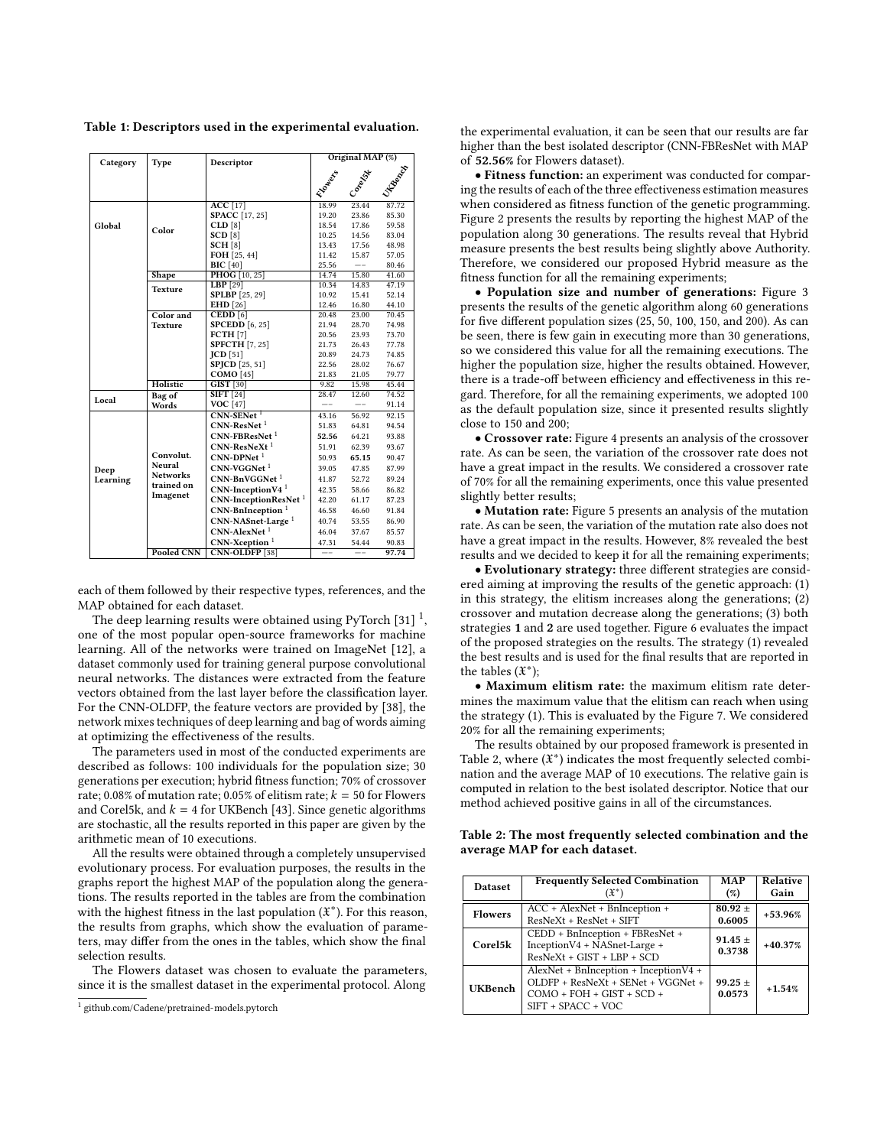<span id="page-2-0"></span>Table 1: Descriptors used in the experimental evaluation.

| Category         | Type                                      | Descriptor                            | Original MAP (%) |                   |                |  |  |
|------------------|-------------------------------------------|---------------------------------------|------------------|-------------------|----------------|--|--|
|                  |                                           |                                       | <b>SIDOWER</b>   | J. Beech          |                |  |  |
|                  |                                           |                                       |                  |                   |                |  |  |
|                  |                                           |                                       |                  | Conect            |                |  |  |
|                  |                                           | <b>ACC</b> [17]                       | 18.99            | 23.44             | 87.72          |  |  |
|                  |                                           | <b>SPACC</b> [17, 25]                 | 19.20            | 23.86             | 85.30          |  |  |
| Global           | Color                                     | CLD[8]                                | 18.54            | 17.86             | 59.58          |  |  |
|                  |                                           | SCD[8]                                | 10.25            | 14.56             | 83.04          |  |  |
|                  |                                           | SCH[8]                                | 13.43            | 17.56             | 48.98          |  |  |
|                  |                                           | FOH [25, 44]                          | 11.42            | 15.87             | 57.05          |  |  |
|                  |                                           | <b>BIC</b> [40]                       | 25.56            | $\qquad \qquad -$ | 80.46          |  |  |
|                  | Shape                                     | <b>PHOG</b> [10, 25]                  | 14.74            | 15.80             | 41.60          |  |  |
|                  | <b>Texture</b>                            | $LBP$ [29]                            | 10.34            | 14.83             | 47.19          |  |  |
|                  |                                           | <b>SPLBP</b> [25, 29]                 | 10.92            | 15.41             | 52.14          |  |  |
|                  |                                           | <b>EHD</b> [26]                       | 12.46            | 16.80             | 44.10          |  |  |
|                  | Color and                                 | $\mathbf{CEDD}\left[6\right]$         | 20.48            | 23.00             | 70.45          |  |  |
|                  | <b>Texture</b>                            | <b>SPCEDD</b> [6, 25]<br>FCTH[7]      | 21.94<br>20.56   | 28.70<br>23.93    | 74.98<br>73.70 |  |  |
|                  |                                           |                                       |                  |                   |                |  |  |
|                  |                                           | <b>SPFCTH</b> [7, 25]<br>$ICD$ [51]   | 21.73<br>20.89   | 26.43<br>24.73    | 77.78<br>74.85 |  |  |
|                  |                                           | <b>SPICD</b> [25, 51]                 | 22.56            | 28.02             | 76.67          |  |  |
|                  |                                           | <b>COMO</b> [45]                      | 21.83            | 21.05             | 79.77          |  |  |
|                  | Holistic                                  | $GIST$ [30]                           | 9.82             | 15.98             | 45.44          |  |  |
|                  | Bag of                                    | $SIFT$ [24]                           | 28.47            | 12.60             | 74.52          |  |  |
| Local            | Words                                     | <b>VOC</b> [47]                       |                  |                   | 91.14          |  |  |
|                  |                                           | $CNN-SENet1$                          | 43.16            | 56.92             | 92.15          |  |  |
|                  |                                           | $CNN-ResNet1$                         | 51.83            | 64.81             | 94.54          |  |  |
|                  |                                           | $CNN-FBResNet1$                       | 52.56            | 64.21             | 93.88          |  |  |
|                  |                                           | $CNN-ResNeXt1$                        | 51.91            | 62.39             | 93.67          |  |  |
|                  | Convolut.                                 | $CNN-DPNet1$                          | 50.93            | 65.15             | 90.47          |  |  |
|                  | Neural                                    | $CNN-VGGNet1$                         | 39.05            | 47.85             | 87.99          |  |  |
| Deep<br>Learning | <b>Networks</b><br>trained on<br>Imagenet | $CNN-BnVGGNet1$                       | 41.87            | 52.72             | 89.24          |  |  |
|                  |                                           | $CNN\text{-}InceptionV4$ <sup>1</sup> | 42.35            | 58.66             | 86.82          |  |  |
|                  |                                           | CNN-InceptionResNet <sup>1</sup>      | 42.20            | 61.17             | 87.23          |  |  |
|                  |                                           | CNN-BnInception <sup>1</sup>          | 46.58            | 46.60             | 91.84          |  |  |
|                  |                                           | CNN-NASnet-Large <sup>1</sup>         | 40.74            | 53.55             | 86.90          |  |  |
|                  |                                           | CNN-AlexNet <sup>1</sup>              |                  | 37.67             | 85.57          |  |  |
|                  |                                           | $CNN-Xception1$                       | 46.04<br>47.31   | 54.44             | 90.83          |  |  |
|                  | Pooled CNN                                | <b>CNN-OLDFP</b> [38]                 | $-$ -            | $-$ -             | 97.74          |  |  |
|                  |                                           |                                       |                  |                   |                |  |  |

each of them followed by their respective types, references, and the MAP obtained for each dataset.

The deep learning results were obtained using PyTorch [\[31\]](#page-4-41)  $^1,$  $^1,$  $^1,$ one of the most popular open-source frameworks for machine learning. All of the networks were trained on ImageNet [\[12\]](#page-4-42), a dataset commonly used for training general purpose convolutional neural networks. The distances were extracted from the feature vectors obtained from the last layer before the classification layer. For the CNN-OLDFP, the feature vectors are provided by [\[38\]](#page-4-40), the network mixes techniques of deep learning and bag of words aiming at optimizing the effectiveness of the results.

The parameters used in most of the conducted experiments are described as follows: 100 individuals for the population size; 30 generations per execution; hybrid fitness function; 70% of crossover rate; 0.08% of mutation rate; 0.05% of elitism rate;  $k = 50$  for Flowers and Corel5k, and  $k = 4$  for UKBench [\[43\]](#page-4-18). Since genetic algorithms are stochastic, all the results reported in this paper are given by the arithmetic mean of 10 executions.

All the results were obtained through a completely unsupervised evolutionary process. For evaluation purposes, the results in the graphs report the highest MAP of the population along the generations. The results reported in the tables are from the combination with the highest fitness in the last population  $(\mathfrak{X}^*)$ . For this reason, the results from graphs, which show the evaluation of parameters, may differ from the ones in the tables, which show the final selection results.

The Flowers dataset was chosen to evaluate the parameters, since it is the smallest dataset in the experimental protocol. Along

the experimental evaluation, it can be seen that our results are far higher than the best isolated descriptor (CNN-FBResNet with MAP of 52.56% for Flowers dataset).

• Fitness function: an experiment was conducted for comparing the results of each of the three effectiveness estimation measures when considered as fitness function of the genetic programming. Figure [2](#page-3-1) presents the results by reporting the highest MAP of the population along 30 generations. The results reveal that Hybrid measure presents the best results being slightly above Authority. Therefore, we considered our proposed Hybrid measure as the fitness function for all the remaining experiments;

• Population size and number of generations: Figure [3](#page-3-1) presents the results of the genetic algorithm along 60 generations for five different population sizes (25, 50, 100, 150, and 200). As can be seen, there is few gain in executing more than 30 generations, so we considered this value for all the remaining executions. The higher the population size, higher the results obtained. However, there is a trade-off between efficiency and effectiveness in this regard. Therefore, for all the remaining experiments, we adopted 100 as the default population size, since it presented results slightly close to 150 and 200;

• Crossover rate: Figure [4](#page-3-1) presents an analysis of the crossover rate. As can be seen, the variation of the crossover rate does not have a great impact in the results. We considered a crossover rate of 70% for all the remaining experiments, once this value presented slightly better results;

• Mutation rate: Figure [5](#page-3-2) presents an analysis of the mutation rate. As can be seen, the variation of the mutation rate also does not have a great impact in the results. However, 8% revealed the best results and we decided to keep it for all the remaining experiments;

<span id="page-2-2"></span>• Evolutionary strategy: three different strategies are considered aiming at improving the results of the genetic approach: (1) in this strategy, the elitism increases along the generations; (2) crossover and mutation decrease along the generations; (3) both strategies 1 and 2 are used together. Figure [6](#page-3-2) evaluates the impact of the proposed strategies on the results. The strategy (1) revealed the best results and is used for the final results that are reported in the tables  $(\mathfrak{X}^*)$ ;

• Maximum elitism rate: the maximum elitism rate determines the maximum value that the elitism can reach when using the strategy (1). This is evaluated by the Figure [7.](#page-3-2) We considered 20% for all the remaining experiments;

The results obtained by our proposed framework is presented in Table [2,](#page-2-3) where  $(\mathfrak{X}^*)$  indicates the most frequently selected combination and the average MAP of 10 executions. The relative gain is computed in relation to the best isolated descriptor. Notice that our method achieved positive gains in all of the circumstances.

<span id="page-2-3"></span>Table 2: The most frequently selected combination and the average MAP for each dataset.

| <b>Dataset</b> | <b>Frequently Selected Combination</b><br>(X*)                                                                                     |                       | <b>Relative</b><br>Gain |
|----------------|------------------------------------------------------------------------------------------------------------------------------------|-----------------------|-------------------------|
| <b>Flowers</b> | $ACC + AlexNet + BhInception +$<br>ResNeXt + ResNet + SIFT                                                                         | $80.92 +$<br>0.6005   | $+53.96%$               |
| Corel5k        | CEDD + BnInception + FBResNet +<br>InceptionV4 + NASnet-Large +<br>$ResNext + GIST + LBP + SCD$                                    | $91.45 \pm$<br>0.3738 | $+40.37%$               |
| <b>UKBench</b> | $AlexNet + BhInception + InceptionV4 +$<br>OLDFP + ResNeXt + SENet + VGGNet +<br>$COMO + FOH + GIST + SCD +$<br>SIFT + SPACC + VOC | $99.25 +$<br>0.0573   | $+1.54%$                |

<span id="page-2-1"></span>[<sup>1</sup>](#page-2-2) <github.com/Cadene/pretrained-models.pytorch>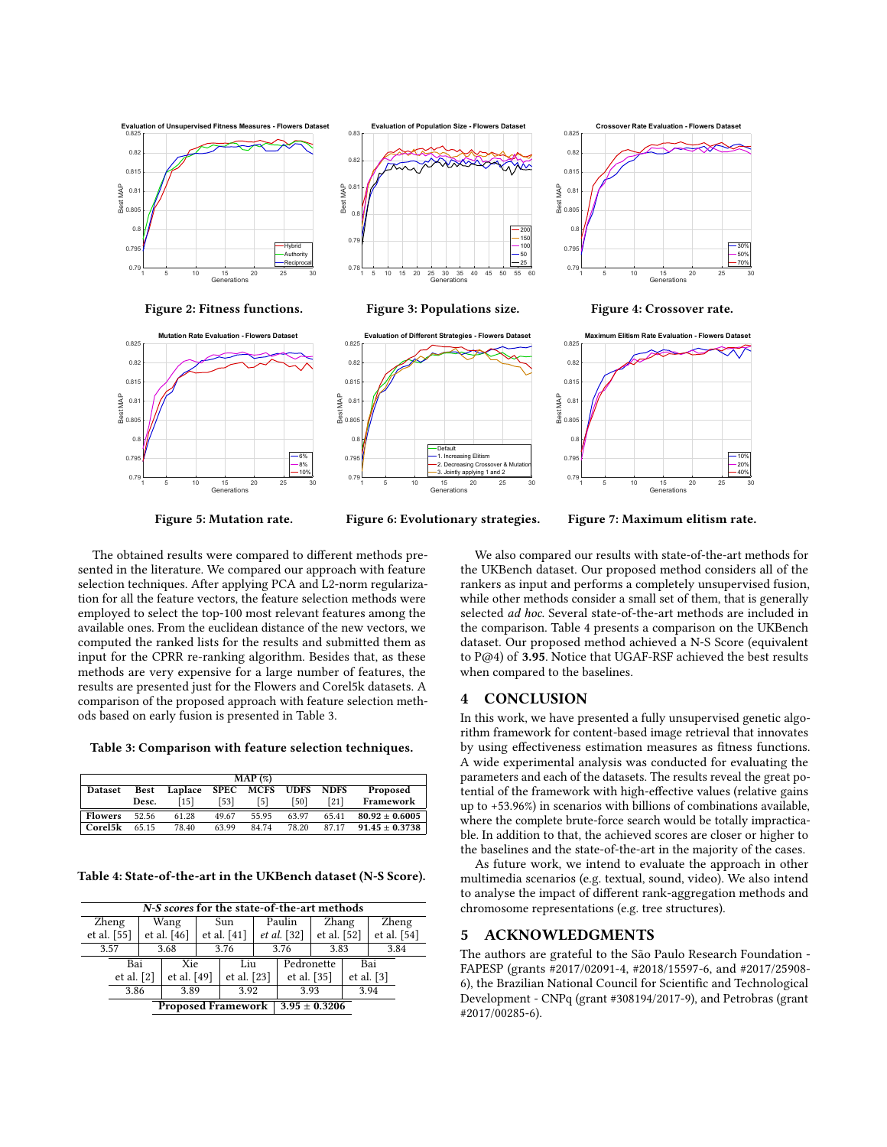<span id="page-3-1"></span>

<span id="page-3-2"></span>Figure 5: Mutation rate.

Figure 6: Evolutionary strategies.

Figure 7: Maximum elitism rate.

The obtained results were compared to different methods presented in the literature. We compared our approach with feature selection techniques. After applying PCA and L2-norm regularization for all the feature vectors, the feature selection methods were employed to select the top-100 most relevant features among the available ones. From the euclidean distance of the new vectors, we computed the ranked lists for the results and submitted them as input for the CPRR re-ranking algorithm. Besides that, as these methods are very expensive for a large number of features, the results are presented just for the Flowers and Corel5k datasets. A comparison of the proposed approach with feature selection methods based on early fusion is presented in Table [3.](#page-3-3)

<span id="page-3-3"></span>Table 3: Comparison with feature selection techniques.

| MAP (%)        |             |         |       |           |             |             |                    |
|----------------|-------------|---------|-------|-----------|-------------|-------------|--------------------|
| <b>Dataset</b> | <b>Best</b> | Laplace |       | SPEC MCFS | <b>UDFS</b> | <b>NDFS</b> | Proposed           |
|                | Desc.       | [15]    | (53]  | [5]       | [50]        | [21]        | Framework          |
| <b>Flowers</b> | 52.56       | 61.28   | 49.67 | 55.95     | 63.97       | 65.41       | $80.92 \pm 0.6005$ |
| Corel5k        | 65.15       | 78.40   | 63.99 | 8474      | 78.20       | 87.17       | $91.45 \pm 0.3738$ |

<span id="page-3-4"></span>Table 4: State-of-the-art in the UKBench dataset (N-S Score).

| N-S scores for the state-of-the-art methods |              |             |             |             |             |                   |             |              |             |       |             |
|---------------------------------------------|--------------|-------------|-------------|-------------|-------------|-------------------|-------------|--------------|-------------|-------|-------------|
| Zheng                                       |              | Wang        |             | Sun         |             | Paulin            |             | Zhang        |             | Zheng |             |
| et al. $[55]$                               |              |             | et al. [46] |             | et al. [41] |                   | et al. [32] |              | et al. [52] |       | et al. [54] |
| 3.57                                        |              |             | 3.68        |             | 3.76        | 3.76              |             | 3.83         |             | 3.84  |             |
| Bai                                         |              | Xie         |             | Liu         |             | Pedronette        |             | Bai          |             |       |             |
| et al. $[2]$                                |              | et al. [49] |             | et al. [23] |             | et al. [35]       |             | et al. $[3]$ |             |       |             |
|                                             | 3.89<br>3.86 |             |             | 3.92        |             | 3.93              |             | 3.94         |             |       |             |
| <b>Proposed Framework</b>                   |              |             |             |             |             | $3.95 \pm 0.3206$ |             |              |             |       |             |

We also compared our results with state-of-the-art methods for the UKBench dataset. Our proposed method considers all of the rankers as input and performs a completely unsupervised fusion, while other methods consider a small set of them, that is generally selected ad hoc. Several state-of-the-art methods are included in the comparison. Table [4](#page-3-4) presents a comparison on the UKBench dataset. Our proposed method achieved a N-S Score (equivalent to P@4) of 3.95. Notice that UGAF-RSF achieved the best results when compared to the baselines.

#### <span id="page-3-0"></span>4 CONCLUSION

In this work, we have presented a fully unsupervised genetic algorithm framework for content-based image retrieval that innovates by using effectiveness estimation measures as fitness functions. A wide experimental analysis was conducted for evaluating the parameters and each of the datasets. The results reveal the great potential of the framework with high-effective values (relative gains up to +53.96%) in scenarios with billions of combinations available, where the complete brute-force search would be totally impracticable. In addition to that, the achieved scores are closer or higher to the baselines and the state-of-the-art in the majority of the cases.

As future work, we intend to evaluate the approach in other multimedia scenarios (e.g. textual, sound, video). We also intend to analyse the impact of different rank-aggregation methods and chromosome representations (e.g. tree structures).

### 5 ACKNOWLEDGMENTS

The authors are grateful to the São Paulo Research Foundation - FAPESP (grants #2017/02091-4, #2018/15597-6, and #2017/25908- 6), the Brazilian National Council for Scientific and Technological Development - CNPq (grant #308194/2017-9), and Petrobras (grant #2017/00285-6).